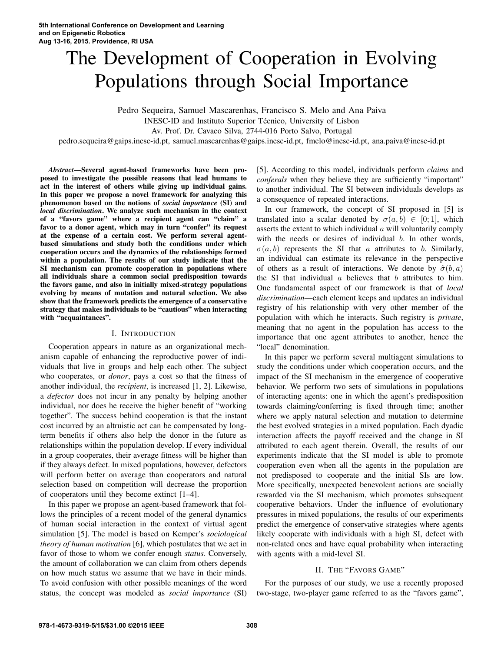# The Development of Cooperation in Evolving Populations through Social Importance

Pedro Sequeira, Samuel Mascarenhas, Francisco S. Melo and Ana Paiva INESC-ID and Instituto Superior Técnico, University of Lisbon

Av. Prof. Dr. Cavaco Silva, 2744-016 Porto Salvo, Portugal

pedro.sequeira@gaips.inesc-id.pt, samuel.mascarenhas@gaips.inesc-id.pt, fmelo@inesc-id.pt, ana.paiva@inesc-id.pt

*Abstract***—Several agent-based frameworks have been proposed to investigate the possible reasons that lead humans to act in the interest of others while giving up individual gains. In this paper we propose a novel framework for analyzing this phenomenon based on the notions of** *social importance* **(SI) and** *local discrimination***. We analyze such mechanism in the context of a "favors game" where a recipient agent can "claim" a favor to a donor agent, which may in turn "confer" its request at the expense of a certain cost. We perform several agentbased simulations and study both the conditions under which cooperation occurs and the dynamics of the relationships formed within a population. The results of our study indicate that the SI mechanism can promote cooperation in populations where all individuals share a common social predisposition towards the favors game, and also in initially mixed-strategy populations evolving by means of mutation and natural selection. We also show that the framework predicts the emergence of a conservative strategy that makes individuals to be "cautious" when interacting with "acquaintances".**

## I. INTRODUCTION

Cooperation appears in nature as an organizational mechanism capable of enhancing the reproductive power of individuals that live in groups and help each other. The subject who cooperates, or *donor*, pays a cost so that the fitness of another individual, the *recipient*, is increased [1, 2]. Likewise, a *defector* does not incur in any penalty by helping another individual, nor does he receive the higher benefit of "working together". The success behind cooperation is that the instant cost incurred by an altruistic act can be compensated by longterm benefits if others also help the donor in the future as relationships within the population develop. If every individual in a group cooperates, their average fitness will be higher than if they always defect. In mixed populations, however, defectors will perform better on average than cooperators and natural selection based on competition will decrease the proportion of cooperators until they become extinct [1–4].

In this paper we propose an agent-based framework that follows the principles of a recent model of the general dynamics of human social interaction in the context of virtual agent simulation [5]. The model is based on Kemper's *sociological theory of human motivation* [6], which postulates that we act in favor of those to whom we confer enough *status*. Conversely, the amount of collaboration we can claim from others depends on how much status we assume that we have in their minds. To avoid confusion with other possible meanings of the word status, the concept was modeled as *social importance* (SI) [5]. According to this model, individuals perform *claims* and *conferals* when they believe they are sufficiently "important" to another individual. The SI between individuals develops as a consequence of repeated interactions.

In our framework, the concept of SI proposed in [5] is translated into a scalar denoted by  $\sigma(a, b) \in [0, 1]$ , which asserts the extent to which individual  $a$  will voluntarily comply with the needs or desires of individual  $b$ . In other words,  $\sigma(a, b)$  represents the SI that a attributes to b. Similarly, an individual can estimate its relevance in the perspective of others as a result of interactions. We denote by  $\hat{\sigma}(b, a)$ the SI that individual  $\alpha$  believes that  $\beta$  attributes to him. One fundamental aspect of our framework is that of *local discrimination*—each element keeps and updates an individual registry of his relationship with very other member of the population with which he interacts. Such registry is *private*, meaning that no agent in the population has access to the importance that one agent attributes to another, hence the "local" denomination.

In this paper we perform several multiagent simulations to study the conditions under which cooperation occurs, and the impact of the SI mechanism in the emergence of cooperative behavior. We perform two sets of simulations in populations of interacting agents: one in which the agent's predisposition towards claiming/conferring is fixed through time; another where we apply natural selection and mutation to determine the best evolved strategies in a mixed population. Each dyadic interaction affects the payoff received and the change in SI attributed to each agent therein. Overall, the results of our experiments indicate that the SI model is able to promote cooperation even when all the agents in the population are not predisposed to cooperate and the initial SIs are low. More specifically, unexpected benevolent actions are socially rewarded via the SI mechanism, which promotes subsequent cooperative behaviors. Under the influence of evolutionary pressures in mixed populations, the results of our experiments predict the emergence of conservative strategies where agents likely cooperate with individuals with a high SI, defect with non-related ones and have equal probability when interacting with agents with a mid-level SI.

## II. THE "FAVORS GAME"

For the purposes of our study, we use a recently proposed two-stage, two-player game referred to as the "favors game",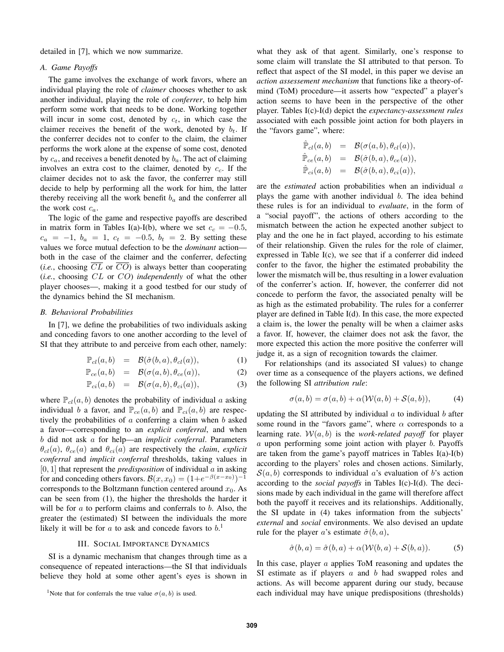detailed in [7], which we now summarize.

## *A. Game Payoffs*

The game involves the exchange of work favors, where an individual playing the role of *claimer* chooses whether to ask another individual, playing the role of *conferrer*, to help him perform some work that needs to be done. Working together will incur in some cost, denoted by  $c_t$ , in which case the claimer receives the benefit of the work, denoted by  $b_t$ . If the conferrer decides not to confer to the claim, the claimer performs the work alone at the expense of some cost, denoted by  $c_a$ , and receives a benefit denoted by  $b_a$ . The act of claiming involves an extra cost to the claimer, denoted by  $c_c$ . If the claimer decides not to ask the favor, the conferrer may still decide to help by performing all the work for him, the latter thereby receiving all the work benefit  $b_a$  and the conferrer all the work cost  $c_a$ .

The logic of the game and respective payoffs are described in matrix form in Tables I(a)-I(b), where we set  $c_c = -0.5$ ,  $c_a = -1, b_a = 1, c_t = -0.5, b_t = 2$ . By setting these values we force mutual defection to be the *dominant* action both in the case of the claimer and the conferrer, defecting (*i.e.*, choosing  $\overline{CL}$  or  $\overline{CO}$ ) is always better than cooperating (*i.e.*, choosing CL or CO) *independently* of what the other player chooses—, making it a good testbed for our study of the dynamics behind the SI mechanism.

#### *B. Behavioral Probabilities*

In [7], we define the probabilities of two individuals asking and conceding favors to one another according to the level of SI that they attribute to and perceive from each other, namely:

$$
\mathbb{P}_{cl}(a,b) = \mathcal{B}(\hat{\sigma}(b,a), \theta_{cl}(a)), \tag{1}
$$

$$
\mathbb{P}_{ce}(a,b) = \mathcal{B}(\sigma(a,b), \theta_{ce}(a)), \tag{2}
$$

$$
\mathbb{P}_{ci}(a,b) = \mathcal{B}(\sigma(a,b), \theta_{ci}(a)), \tag{3}
$$

where  $\mathbb{P}_{cl}(a, b)$  denotes the probability of individual a asking individual b a favor, and  $\mathbb{P}_{ce}(a, b)$  and  $\mathbb{P}_{ci}(a, b)$  are respectively the probabilities of  $a$  conferring a claim when  $b$  asked a favor—corresponding to an *explicit conferral*, and when b did not ask a for help—an *implicit conferral*. Parameters  $\theta_{cl}(a)$ ,  $\theta_{ce}(a)$  and  $\theta_{ci}(a)$  are respectively the *claim*, *explicit conferral* and *implicit conferral* thresholds, taking values in  $[0, 1]$  that represent the *predisposition* of individual  $\alpha$  in asking for and conceding others favors.  $\mathcal{B}(x, x_0) = (1 + e^{-\beta(x-x_0)})^{-1}$ corresponds to the Boltzmann function centered around  $x_0$ . As can be seen from (1), the higher the thresholds the harder it will be for  $a$  to perform claims and conferrals to  $b$ . Also, the greater the (estimated) SI between the individuals the more likely it will be for  $a$  to ask and concede favors to  $b<sup>1</sup>$ .

## III. SOCIAL IMPORTANCE DYNAMICS

SI is a dynamic mechanism that changes through time as a consequence of repeated interactions—the SI that individuals believe they hold at some other agent's eyes is shown in

what they ask of that agent. Similarly, one's response to some claim will translate the SI attributed to that person. To reflect that aspect of the SI model, in this paper we devise an *action assessement mechanism* that functions like a theory-ofmind (ToM) procedure—it asserts how "expected" a player's action seems to have been in the perspective of the other player. Tables I(c)-I(d) depict the *expectancy-assessment rules* associated with each possible joint action for both players in the "favors game", where:

$$
\begin{array}{rcl}\n\hat{\mathbb{P}}_{cl}(a,b) & = & \mathcal{B}(\sigma(a,b),\theta_{cl}(a)), \\
\hat{\mathbb{P}}_{ce}(a,b) & = & \mathcal{B}(\hat{\sigma}(b,a),\theta_{ce}(a)), \\
\hat{\mathbb{P}}_{ci}(a,b) & = & \mathcal{B}(\hat{\sigma}(b,a),\theta_{ci}(a)),\n\end{array}
$$

are the *estimated* action probabilities when an individual a plays the game with another individual b. The idea behind these rules is for an individual to *evaluate*, in the form of a "social payoff", the actions of others according to the mismatch between the action he expected another subject to play and the one he in fact played, according to his estimate of their relationship. Given the rules for the role of claimer, expressed in Table I(c), we see that if a conferrer did indeed confer to the favor, the higher the estimated probability the lower the mismatch will be, thus resulting in a lower evaluation of the conferrer's action. If, however, the conferrer did not concede to perform the favor, the associated penalty will be as high as the estimated probability. The rules for a conferrer player are defined in Table I(d). In this case, the more expected a claim is, the lower the penalty will be when a claimer asks a favor. If, however, the claimer does not ask the favor, the more expected this action the more positive the conferrer will judge it, as a sign of recognition towards the claimer.

For relationships (and its associated SI values) to change over time as a consequence of the players actions, we defined the following SI *attribution rule*:

$$
\sigma(a,b) = \sigma(a,b) + \alpha(\mathcal{W}(a,b) + \mathcal{S}(a,b)),\tag{4}
$$

updating the SI attributed by individual  $\alpha$  to individual  $\delta$  after some round in the "favors game", where  $\alpha$  corresponds to a learning rate.  $W(a, b)$  is the *work-related payoff* for player  $a$  upon performing some joint action with player  $b$ . Payoffs are taken from the game's payoff matrices in Tables I(a)-I(b) according to the players' roles and chosen actions. Similarly,  $S(a, b)$  corresponds to individual a's evaluation of b's action according to the *social payoffs* in Tables I(c)-I(d). The decisions made by each individual in the game will therefore affect both the payoff it receives and its relationships. Additionally, the SI update in (4) takes information from the subjects' *external* and *social* environments. We also devised an update rule for the player a's estimate  $\hat{\sigma}(b, a)$ ,

$$
\hat{\sigma}(b,a) = \hat{\sigma}(b,a) + \alpha(\mathcal{W}(b,a) + \mathcal{S}(b,a)). \tag{5}
$$

In this case, player  $a$  applies ToM reasoning and updates the SI estimate as if players a and b had swapped roles and actions. As will become apparent during our study, because each individual may have unique predispositions (thresholds)

<sup>&</sup>lt;sup>1</sup>Note that for conferrals the true value  $\sigma(a, b)$  is used.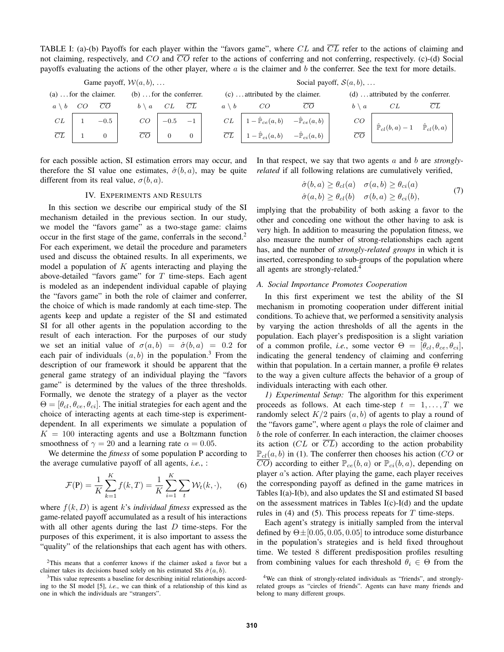TABLE I: (a)-(b) Payoffs for each player within the "favors game", where CL and  $\overline{CL}$  refer to the actions of claiming and not claiming, respectively, and  $CO$  and  $\overline{CO}$  refer to the actions of conferring and not conferring, respectively. (c)-(d) Social payoffs evaluating the actions of the other player, where  $a$  is the claimer and  $b$  the conferrer. See the text for more details.

Game payoff, 
$$
W(a, b), \ldots
$$

\nSocial payoff,  $S(a, b), \ldots$ 

\nSocial payoff,  $S(a, b), \ldots$ 

\n(a) ... for the claimer.

\n(b) ... for the conferrer.

\n(c) ... attributed by the claimer.

\n(d) ... attributed by the conferrer.

\n(e) ... attributed by the claimer.

\n(f)  $\overline{CO}$  is given by  $\overline{CO}$  and  $\overline{CO}$  is given by  $\overline{CO}$  and  $\overline{CO}$  is given by  $\overline{CO}$  and  $\overline{CO}$  is given by  $\overline{CO}$  and  $\overline{CO}$  is given by  $\overline{CO}$  and  $\overline{CO}$  is given by  $\overline{CO}$  and  $\overline{CO}$  is given by  $\overline{CO}$  and  $\overline{CO}$  is given by  $\overline{CO}$  and  $\overline{CO}$  is given by  $\overline{CO}$  and  $\overline{CO}$  is given by  $\overline{CO}$  and  $\overline{CO}$  is given by  $\overline{CO}$  and  $\overline{CO}$  is given by  $\overline{CO}$  and  $\overline{CO}$  is given by  $\overline{CO}$  and  $\overline{CO}$  is given by  $\overline{CO}$  and  $\overline{CO}$  is given by  $\overline{CO}$  and  $\overline{CO}$  is given by  $\overline{CO}$  and  $\overline{CO}$  is given by  $\overline{CO}$  and  $\overline{CO}$  is given by  $\overline{CO}$  and  $\overline{CO}$  is given by  $\overline{CO}$  and  $\overline{CO}$  is given by  $\overline{CO}$  and  $\overline{CO}$  is given by  $\overline{CO}$  and  $\overline{CO}$  is given by  $\overline{CO}$  and  $\overline{CO}$  is given by  $\overline{CO}$  and  $\overline{CO}$  is given by  $\overline{CO}$  and  $\overline{CO}$  is given by  $\overline{CO}$  and  $\overline{CO}$  is given by  $\overline{CO}$  and  $\$ 

for each possible action, SI estimation errors may occur, and therefore the SI value one estimates,  $\hat{\sigma}(b, a)$ , may be quite different from its real value,  $\sigma(b, a)$ .

### IV. EXPERIMENTS AND RESULTS

In this section we describe our empirical study of the SI mechanism detailed in the previous section. In our study, we model the "favors game" as a two-stage game: claims occur in the first stage of the game, conferrals in the second.<sup>2</sup> For each experiment, we detail the procedure and parameters used and discuss the obtained results. In all experiments, we model a population of  $K$  agents interacting and playing the above-detailed "favors game" for  $T$  time-steps. Each agent is modeled as an independent individual capable of playing the "favors game" in both the role of claimer and conferrer, the choice of which is made randomly at each time-step. The agents keep and update a register of the SI and estimated SI for all other agents in the population according to the result of each interaction. For the purposes of our study we set an initial value of  $\sigma(a, b) = \hat{\sigma}(b, a) = 0.2$  for each pair of individuals  $(a, b)$  in the population.<sup>3</sup> From the description of our framework it should be apparent that the general game strategy of an individual playing the "favors game" is determined by the values of the three thresholds. Formally, we denote the strategy of a player as the vector  $\Theta = [\theta_{cl}, \theta_{ce}, \theta_{ci}]$ . The initial strategies for each agent and the choice of interacting agents at each time-step is experimentdependent. In all experiments we simulate a population of  $K = 100$  interacting agents and use a Boltzmann function smoothness of  $\gamma = 20$  and a learning rate  $\alpha = 0.05$ .

We determine the *fitness* of some population P according to the average cumulative payoff of all agents, *i.e.*, :

$$
\mathcal{F}(\mathbf{P}) = \frac{1}{K} \sum_{k=1}^{K} f(k, T) = \frac{1}{K} \sum_{i=1}^{K} \sum_{t} \mathcal{W}_t(k, \cdot), \qquad (6)
$$

where  $f(k, D)$  is agent k's *individual fitness* expressed as the game-related payoff accumulated as a result of his interactions with all other agents during the last  $D$  time-steps. For the purposes of this experiment, it is also important to assess the "quality" of the relationships that each agent has with others. In that respect, we say that two agents a and b are *stronglyrelated* if all following relations are cumulatively verified,

$$
\hat{\sigma}(b, a) \ge \theta_{cl}(a) \quad \sigma(a, b) \ge \theta_{ci}(a)
$$
  

$$
\hat{\sigma}(a, b) \ge \theta_{cl}(b) \quad \sigma(b, a) \ge \theta_{ci}(b),
$$
 (7)

implying that the probability of both asking a favor to the other and conceding one without the other having to ask is very high. In addition to measuring the population fitness, we also measure the number of strong-relationships each agent has, and the number of *strongly-related groups* in which it is inserted, corresponding to sub-groups of the population where all agents are strongly-related.<sup>4</sup>

## *A. Social Importance Promotes Cooperation*

In this first experiment we test the ability of the SI mechanism in promoting cooperation under different initial conditions. To achieve that, we performed a sensitivity analysis by varying the action thresholds of all the agents in the population. Each player's predisposition is a slight variation of a common profile, *i.e.*, some vector  $\Theta = [\theta_{cl}, \theta_{ce}, \theta_{ci}]$ , indicating the general tendency of claiming and conferring within that population. In a certain manner, a profile Θ relates to the way a given culture affects the behavior of a group of individuals interacting with each other.

*1) Experimental Setup:* The algorithm for this experiment proceeds as follows. At each time-step  $t = 1, \ldots, T$  we randomly select  $K/2$  pairs  $(a, b)$  of agents to play a round of the "favors game", where agent  $a$  plays the role of claimer and b the role of conferrer. In each interaction, the claimer chooses its action (CL or  $\overline{CL}$ ) according to the action probability  $\mathbb{P}_{cl}(a, b)$  in (1). The conferrer then chooses his action (CO or  $\overline{CO}$ ) according to either  $\mathbb{P}_{ce}(b, a)$  or  $\mathbb{P}_{ci}(b, a)$ , depending on player a's action. After playing the game, each player receives the corresponding payoff as defined in the game matrices in Tables I(a)-I(b), and also updates the SI and estimated SI based on the assessment matrices in Tables I(c)-I(d) and the update rules in (4) and (5). This process repeats for  $T$  time-steps.

Each agent's strategy is initially sampled from the interval defined by  $\Theta \pm [0.05, 0.05, 0.05]$  to introduce some disturbance in the population's strategies and is held fixed throughout time. We tested 8 different predisposition profiles resulting from combining values for each threshold  $\theta_i \in \Theta$  from the

<sup>&</sup>lt;sup>2</sup>This means that a conferrer knows if the claimer asked a favor but a claimer takes its decisions based solely on his estimated SIs  $\hat{\sigma}(a, b)$ .

<sup>&</sup>lt;sup>3</sup>This value represents a baseline for describing initial relationships according to the SI model [5], *i.e.*, we can think of a relationship of this kind as one in which the individuals are "strangers".

<sup>4</sup>We can think of strongly-related individuals as "friends", and stronglyrelated groups as "circles of friends". Agents can have many friends and belong to many different groups.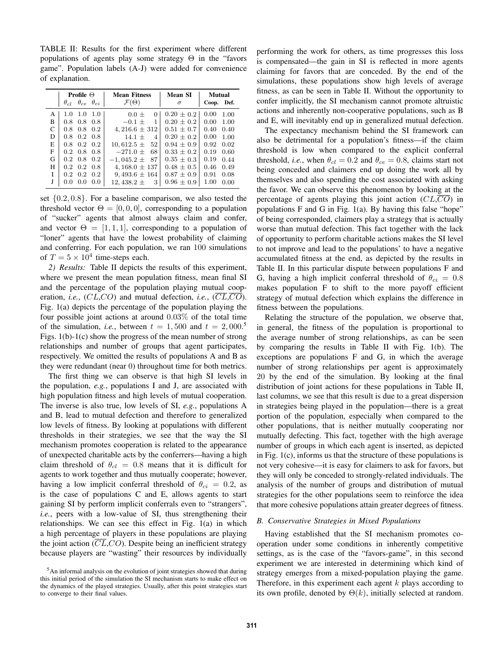TABLE II: Results for the first experiment where different populations of agents play some strategy  $\Theta$  in the "favors" game". Population labels (A-J) were added for convenience of explanation.

| <b>Profile</b> $\Theta$<br>$\theta_{ce}$ $\theta_{ci}$<br>$\theta_{cl}$ |                        | <b>Mean Fitness</b><br>$\mathcal{F}(\Theta)$ | Mean SI<br>$\sigma$ | <b>Mutual</b><br>Coop. Def. |
|-------------------------------------------------------------------------|------------------------|----------------------------------------------|---------------------|-----------------------------|
| A                                                                       | 1.0<br>1.0             | 1.0<br>$0.0 +$<br>0                          | $0.20 + 0.2$        | 0.00<br>1.00                |
| В                                                                       | $0.8 \quad 0.8$<br>0.8 | $-0.1 \pm$<br>1                              | $0.20 \pm 0.2$      | 0.00<br>1.00                |
| C                                                                       | $0.8\ 0.2$<br>0.8      | $4,216.6 \pm 312$                            | $0.51 \pm 0.7$      | 0.40<br>0.40                |
| D                                                                       | $0.2 \quad 0.8$<br>0.8 | $14.1 +$<br>4                                | $0.20 \pm 0.2$      | 0.00<br>1.00                |
| E                                                                       | $0.2 \quad 0.2$<br>0.8 | $10,612.5 \pm$<br>52                         | $0.94 \pm 0.9$      | 0.92<br>0.02                |
| F                                                                       | 0.8<br>0.2<br>0.8      | $-271.0 \pm$<br>68                           | $0.33 \pm 0.2$      | 0.19<br>0.60                |
| G                                                                       | 0.8<br>0.2<br>0.2      | $-1,045.2 \pm$<br>87                         | $0.35 \pm 0.3$      | 0.19<br>0.44                |
| H                                                                       | $0.2 \quad 0.8$<br>0.2 | $4,168.0 \pm 137$                            | $0.48 \pm 0.5$      | 0.46<br>0.49                |
| T                                                                       | 0.2<br>0.2<br>0.2      | $9,493.6 \pm 164$                            | $0.87 + 0.9$        | 0.91<br>0.08                |
|                                                                         | 0.0<br>(0.0)           | 12, 438.2 $\pm$<br>3<br>0.0                  | $0.96 \pm 0.9$      | 1.00<br>0.00                |

set  $\{0.2, 0.8\}$ . For a baseline comparison, we also tested the threshold vector  $\Theta = [0, 0, 0]$ , corresponding to a population of "sucker" agents that almost always claim and confer, and vector  $\Theta = [1, 1, 1]$ , corresponding to a population of "loner" agents that have the lowest probability of claiming and conferring. For each population, we ran 100 simulations of  $T = 5 \times 10^4$  time-steps each.

*2) Results:* Table II depicts the results of this experiment, where we present the mean population fitness, mean final SI and the percentage of the population playing mutual cooperation, *i.e.*, (CL,CO) and mutual defection, *i.e.*, (CL,CO). Fig. 1(a) depicts the percentage of the population playing the four possible joint actions at around 0.03% of the total time of the simulation, *i.e.*, between  $t = 1,500$  and  $t = 2,000$ .<sup>5</sup> Figs. 1(b)-1(c) show the progress of the mean number of strong relationships and number of groups that agent participates, respectively. We omitted the results of populations A and B as they were redundant (near 0) throughout time for both metrics.

The first thing we can observe is that high SI levels in the population, *e.g.*, populations I and J, are associated with high population fitness and high levels of mutual cooperation. The inverse is also true, low levels of SI, *e.g.*, populations A and B, lead to mutual defection and therefore to generalized low levels of fitness. By looking at populations with different thresholds in their strategies, we see that the way the SI mechanism promotes cooperation is related to the appearance of unexpected charitable acts by the conferrers—having a high claim threshold of  $\theta_{cl} = 0.8$  means that it is difficult for agents to work together and thus mutually cooperate; however, having a low implicit conferral threshold of  $\theta_{ci} = 0.2$ , as is the case of populations C and E, allows agents to start gaining SI by perform implicit conferrals even to "strangers", *i.e.*, peers with a low-value of SI, thus strengthening their relationships. We can see this effect in Fig. 1(a) in which a high percentage of players in these populations are playing the joint action  $(\overline{CL}, CO)$ . Despite being an inefficient strategy because players are "wasting" their resources by individually

performing the work for others, as time progresses this loss is compensated—the gain in SI is reflected in more agents claiming for favors that are conceded. By the end of the simulations, these populations show high levels of average fitness, as can be seen in Table II. Without the opportunity to confer implicitly, the SI mechanism cannot promote altruistic actions and inherently non-cooperative populations, such as B and E, will inevitably end up in generalized mutual defection.

The expectancy mechanism behind the SI framework can also be detrimental for a population's fitness—if the claim threshold is low when compared to the explicit conferral threshold, *i.e.*, when  $\theta_{cl} = 0.2$  and  $\theta_{ce} = 0.8$ , claims start not being conceded and claimers end up doing the work all by themselves and also spending the cost associated with asking the favor. We can observe this phenomenon by looking at the percentage of agents playing this joint action  $(CL,\overline{CO})$  in populations F and G in Fig. 1(a). By having this false "hope" of being corresponded, claimers play a strategy that is actually worse than mutual defection. This fact together with the lack of opportunity to perform charitable actions makes the SI level to not improve and lead to the populations' to have a negative accumulated fitness at the end, as depicted by the results in Table II. In this particular dispute between populations F and G, having a high implicit conferral threshold of  $\theta_{ci} = 0.8$ makes population F to shift to the more payoff efficient strategy of mutual defection which explains the difference in fitness between the populations.

Relating the structure of the population, we observe that, in general, the fitness of the population is proportional to the average number of strong relationships, as can be seen by comparing the results in Table II with Fig. 1(b). The exceptions are populations F and G, in which the average number of strong relationships per agent is approximately 20 by the end of the simulation. By looking at the final distribution of joint actions for these populations in Table II, last columns, we see that this result is due to a great dispersion in strategies being played in the population—there is a great portion of the population, especially when compared to the other populations, that is neither mutually cooperating nor mutually defecting. This fact, together with the high average number of groups in which each agent is inserted, as depicted in Fig. 1(c), informs us that the structure of these populations is not very cohesive—it is easy for claimers to ask for favors, but they will only be conceded to strongly-related individuals. The analysis of the number of groups and distribution of mutual strategies for the other populations seem to reinforce the idea that more cohesive populations attain greater degrees of fitness.

## *B. Conservative Strategies in Mixed Populations*

Having established that the SI mechanism promotes cooperation under some conditions in inherently competitive settings, as is the case of the "favors-game", in this second experiment we are interested in determining which kind of strategy emerges from a mixed-population playing the game. Therefore, in this experiment each agent  $k$  plays according to its own profile, denoted by  $\Theta(k)$ , initially selected at random.

<sup>5</sup>An informal analysis on the evolution of joint strategies showed that during this initial period of the simulation the SI mechanism starts to make effect on the dynamics of the played strategies. Usually, after this point strategies start to converge to their final values.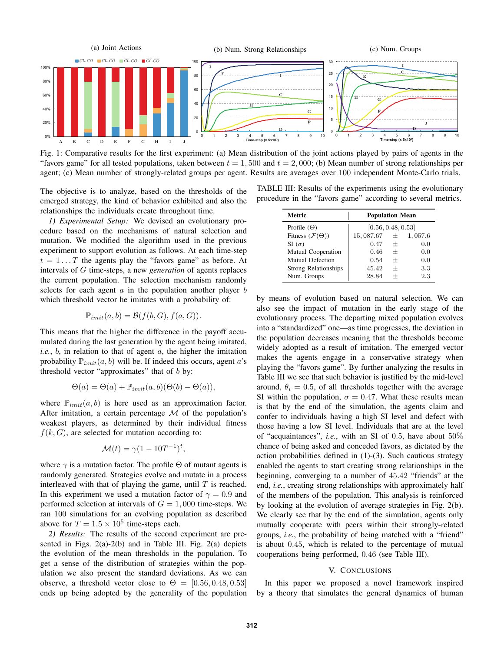

Fig. 1: Comparative results for the first experiment: (a) Mean distribution of the joint actions played by pairs of agents in the "favors game" for all tested populations, taken between  $t = 1,500$  and  $t = 2,000$ ; (b) Mean number of strong relationships per agent; (c) Mean number of strongly-related groups per agent. Results are averages over 100 independent Monte-Carlo trials.

The objective is to analyze, based on the thresholds of the emerged strategy, the kind of behavior exhibited and also the relationships the individuals create throughout time.

*1) Experimental Setup:* We devised an evolutionary procedure based on the mechanisms of natural selection and mutation. We modified the algorithm used in the previous experiment to support evolution as follows. At each time-step  $t = 1...T$  the agents play the "favors game" as before. At intervals of G time-steps, a new *generation* of agents replaces the current population. The selection mechanism randomly selects for each agent  $a$  in the population another player  $b$ which threshold vector he imitates with a probability of:

$$
\mathbb{P}_{imit}(a,b) = \mathcal{B}(f(b,G), f(a,G)).
$$

This means that the higher the difference in the payoff accumulated during the last generation by the agent being imitated, *i.e.*,  $b$ , in relation to that of agent  $a$ , the higher the imitation probability  $\mathbb{P}_{imit}(a, b)$  will be. If indeed this occurs, agent a's threshold vector "approximates" that of  $b$  by:

$$
\Theta(a) = \Theta(a) + \mathbb{P}_{imit}(a, b)(\Theta(b) - \Theta(a)),
$$

where  $\mathbb{P}_{imit}(a, b)$  is here used as an approximation factor. After imitation, a certain percentage  $M$  of the population's weakest players, as determined by their individual fitness  $f(k, G)$ , are selected for mutation according to:

$$
\mathcal{M}(t) = \gamma (1 - 10T^{-1})^t,
$$

where  $\gamma$  is a mutation factor. The profile  $\Theta$  of mutant agents is randomly generated. Strategies evolve and mutate in a process interleaved with that of playing the game, until  $T$  is reached. In this experiment we used a mutation factor of  $\gamma = 0.9$  and performed selection at intervals of  $G = 1,000$  time-steps. We ran 100 simulations for an evolving population as described above for  $T = 1.5 \times 10^5$  time-steps each.

*2) Results:* The results of the second experiment are presented in Figs. 2(a)-2(b) and in Table III. Fig. 2(a) depicts the evolution of the mean thresholds in the population. To get a sense of the distribution of strategies within the population we also present the standard deviations. As we can observe, a threshold vector close to  $\Theta = [0.56, 0.48, 0.53]$ ends up being adopted by the generality of the population

TABLE III: Results of the experiments using the evolutionary procedure in the "favors game" according to several metrics.

| Metric                      | <b>Population Mean</b> |        |         |
|-----------------------------|------------------------|--------|---------|
| Profile $(\Theta)$          | [0.56, 0.48, 0.53]     |        |         |
| Fitness $(F(\Theta))$       | 15,087.67              | $\pm$  | 1,057.6 |
| SI $(\sigma)$               | 0.47                   | $^{+}$ | 0.0     |
| Mutual Cooperation          | 0.46                   | $^{+}$ | 0.0     |
| Mutual Defection            | 0.54                   | $^{+}$ | 0.0     |
| <b>Strong Relationships</b> | 45.42                  | $^{+}$ | 3.3     |
| Num. Groups                 | 28.84                  |        | 2.3     |

by means of evolution based on natural selection. We can also see the impact of mutation in the early stage of the evolutionary process. The departing mixed population evolves into a "standardized" one—as time progresses, the deviation in the population decreases meaning that the thresholds become widely adopted as a result of imitation. The emerged vector makes the agents engage in a conservative strategy when playing the "favors game". By further analyzing the results in Table III we see that such behavior is justified by the mid-level around,  $\theta_i = 0.5$ , of all thresholds together with the average SI within the population,  $\sigma = 0.47$ . What these results mean is that by the end of the simulation, the agents claim and confer to individuals having a high SI level and defect with those having a low SI level. Individuals that are at the level of "acquaintances", *i.e.*, with an SI of 0.5, have about 50% chance of being asked and conceded favors, as dictated by the action probabilities defined in (1)-(3). Such cautious strategy enabled the agents to start creating strong relationships in the beginning, converging to a number of 45.42 "friends" at the end, *i.e.*, creating strong relationships with approximately half of the members of the population. This analysis is reinforced by looking at the evolution of average strategies in Fig. 2(b). We clearly see that by the end of the simulation, agents only mutually cooperate with peers within their strongly-related groups, *i.e.*, the probability of being matched with a "friend" is about 0.45, which is related to the percentage of mutual cooperations being performed, 0.46 (see Table III).

## V. CONCLUSIONS

In this paper we proposed a novel framework inspired by a theory that simulates the general dynamics of human